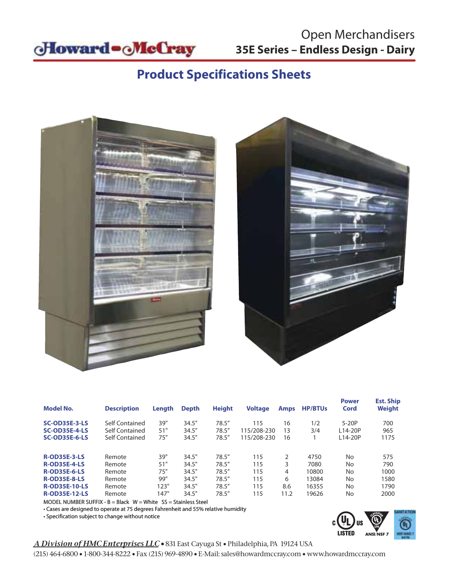

# Open Merchandisers

# **Product Specifications Sheets**





| <b>Model No.</b>                             | <b>Description</b>               | Length     | <b>Depth</b>   | <b>Height</b>   | <b>Voltage</b>             | <b>Amps</b> | <b>HP/BTUs</b> | <b>Power</b><br>Cord | <b>Est. Ship</b><br><b>Weight</b> |
|----------------------------------------------|----------------------------------|------------|----------------|-----------------|----------------------------|-------------|----------------|----------------------|-----------------------------------|
| <b>SC-OD35E-3-LS</b>                         | Self Contained                   | 39"        | 34.5"          | 78.5''          | 115                        | 16          | 1/2            | $5-20P$              | 700                               |
| <b>SC-OD35E-4-LS</b><br><b>SC-OD35E-6-LS</b> | Self Contained<br>Self Contained | 51"<br>75" | 34.5"<br>34.5" | 78.5''<br>78.5" | 115/208-230<br>115/208-230 | 13<br>16    | 3/4            | L14-20P<br>L14-20P   | 965<br>1175                       |
|                                              |                                  |            |                |                 |                            |             |                |                      |                                   |
| <b>R-OD35E-3-LS</b>                          | Remote                           | 39"        | 34.5"          | 78.5''          | 115                        | C.          | 4750           | No                   | 575                               |
| <b>R-OD35E-4-LS</b>                          | Remote                           | 51"        | 34.5"          | 78.5''          | 115                        | 3           | 7080           | No                   | 790                               |
| <b>R-OD35E-6-LS</b>                          | Remote                           | 75"        | 34.5"          | 78.5''          | 115                        | 4           | 10800          | No                   | 1000                              |
| <b>R-OD35E-8-LS</b>                          | Remote                           | 99"        | 34.5"          | 78.5''          | 115                        | 6           | 13084          | No                   | 1580                              |
| <b>R-OD35E-10-LS</b>                         | Remote                           | 123"       | 34.5"          | 78.5''          | 115                        | 8.6         | 16355          | <b>No</b>            | 1790                              |
| <b>R-OD35E-12-LS</b>                         | Remote                           | 147"       | 34.5"          | 78.5''          | 115                        | 11.2        | 19626          | No                   | 2000                              |

MODEL NUMBER SUFFIX -  $B = Black$  W = White  $SS = Stainless Steel$ 

• Cases are designed to operate at 75 degrees Fahrenheit and 55% relative humidity

• Specification subject to change without notice



#### *A Division of HMC Enterprises LLC •* 831 East Cayuga St • Philadelphia, PA 19124 USA

(215) 464-6800 • 1-800-344-8222 • Fax (215) 969-4890 • E-Mail: sales@howardmccray.com • www.howardmccray.com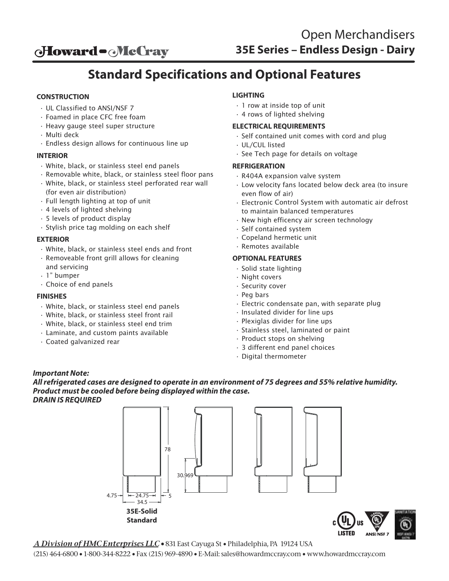**oHoward - McCray** 

# **Standard Specifications and Optional Features**

#### **CONSTRUCTION**

- UL Classified to ANSI/NSF 7
- Foamed in place CFC free foam
- Heavy gauge steel super structure
- Multi deck
- Endless design allows for continuous line up

#### **INTERIOR**

- White, black, or stainless steel end panels
- Removable white, black, or stainless steel floor pans • White, black, or stainless steel perforated rear wall
- (for even air distribution)
- Full length lighting at top of unit
- 4 levels of lighted shelving
- 5 levels of product display
- Stylish price tag molding on each shelf

#### **EXTERIOR**

- White, black, or stainless steel ends and front
- Removeable front grill allows for cleaning
- and servicing
- 1" bumper
- Choice of end panels

#### **FINISHES**

- White, black, or stainless steel end panels
- White, black, or stainless steel front rail
- White, black, or stainless steel end trim
- Laminate, and custom paints available
- Coated galvanized rear

#### **LIGHTING**

- 1 row at inside top of unit
- 4 rows of lighted shelving

#### **ELECTRICAL REQUIREMENTS**

- Self contained unit comes with cord and plug
- UL/CUL listed
- See Tech page for details on voltage

#### **REFRIGERATION**

- R404A expansion valve system
- Low velocity fans located below deck area (to insure even flow of air)
- Electronic Control System with automatic air defrost to maintain balanced temperatures
- New high efficency air screen technology
- Self contained system
- Copeland hermetic unit
- Remotes available

#### **OPTIONAL FEATURES**

- Solid state lighting
- Night covers
- Security cover
- Peg bars
- Electric condensate pan, with separate plug
- Insulated divider for line ups
- Plexiglas divider for line ups
- Stainless steel, laminated or paint
- Product stops on shelving
- 3 different end panel choices
- Digital thermometer

#### *Important Note:*

*All refrigerated cases are designed to operate in an environment of 75 degrees and 55% relative humidity. Product must be cooled before being displayed within the case. DRAIN IS REQUIRED*

> $4.75 - 74.75$  $-34.5$ 78 5 30.969 **35E-Solid Standard**

*A Division of HMC Enterprises LLC •* 831 East Cayuga St • Philadelphia, PA 19124 USA

(215) 464-6800 • 1-800-344-8222 • Fax (215) 969-4890 • E-Mail: sales@howardmccray.com • www.howardmccray.com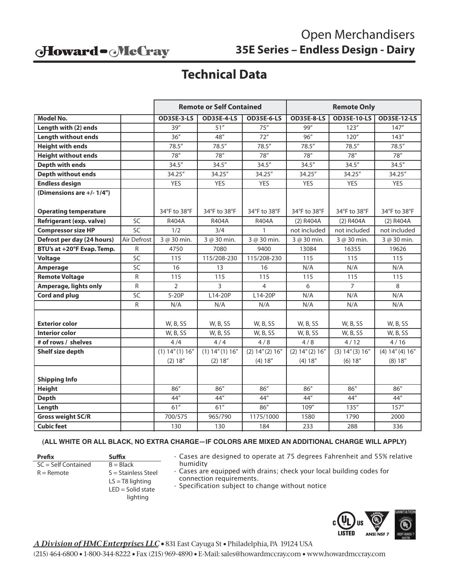### Howard - McCray

# Open Merchandisers **35E Series – Endless Design - Dairy**

# **Technical Data**

|                                 |                 | <b>Remote or Self Contained</b> |                     |                   | <b>Remote Only</b> |                    |                    |  |
|---------------------------------|-----------------|---------------------------------|---------------------|-------------------|--------------------|--------------------|--------------------|--|
| <b>Model No.</b>                |                 | <b>OD35E-3-LS</b>               | <b>OD35E-4-LS</b>   | <b>OD35E-6-LS</b> | <b>OD35E-8-LS</b>  | <b>OD35E-10-LS</b> | <b>OD35E-12-LS</b> |  |
| Length with (2) ends            |                 | 39''                            | 51''                | 75''              | 99"                | 123''              | 147''              |  |
| <b>Length without ends</b>      |                 | 36''                            | 48''                | 72"               | 96''               | 120''              | 143''              |  |
| <b>Height with ends</b>         |                 | 78.5''                          | 78.5"               | 78.5"             | 78.5''             | 78.5''             | 78.5''             |  |
| <b>Height without ends</b>      |                 | 78''                            | 78''                | 78''              | 78''               | 78''               | 78''               |  |
| <b>Depth with ends</b>          |                 | 34.5''                          | 34.5''              | 34.5''            | 34.5''             | 34.5''             | 34.5''             |  |
| <b>Depth without ends</b>       |                 | 34.25"                          | 34.25"              | 34.25"            | 34.25"             | 34.25"             | 34.25"             |  |
| <b>Endless design</b>           |                 | <b>YES</b>                      | <b>YES</b>          | <b>YES</b>        | <b>YES</b>         | <b>YES</b>         | <b>YES</b>         |  |
| (Dimensions are +/- 1/4")       |                 |                                 |                     |                   |                    |                    |                    |  |
|                                 |                 |                                 |                     |                   |                    |                    |                    |  |
| <b>Operating temperature</b>    |                 | 34°F to 38°F                    | 34°F to 38°F        | 34°F to 38°F      | 34°F to 38°F       | 34°F to 38°F       | 34°F to 38°F       |  |
| <b>Refrigerant (exp. valve)</b> | SC              | R404A                           | R404A               | R404A             | (2) R404A          | (2) R404A          | $(2)$ R404A        |  |
| <b>Compressor size HP</b>       | $\overline{SC}$ | 1/2                             | 3/4                 | $\mathbf{1}$      | not included       | not included       | not included       |  |
| Defrost per day (24 hours)      | Air Defrost     | 3 @ 30 min.                     | 3 @ 30 min.         | 3 @ 30 min.       | 3 @ 30 min.        | 3 @ 30 min.        | 3 @ 30 min.        |  |
| BTU's at +20°F Evap. Temp.      | R               | 4750                            | 7080                | 9400              | 13084              | 16355              | 19626              |  |
| <b>Voltage</b>                  | SC              | 115                             | 115/208-230         | 115/208-230       | 115                | 115                | 115                |  |
| Amperage                        | SC              | 16                              | 13                  | 16                | N/A                | N/A                | N/A                |  |
| <b>Remote Voltage</b>           | R               | 115                             | 115                 | 115               | 115                | 115                | 115                |  |
| <b>Amperage, lights only</b>    | R               | $\overline{2}$                  | 3                   | 4                 | 6                  | $\overline{7}$     | 8                  |  |
| Cord and plug                   | SC              | $5-20P$                         | L14-20P             | L14-20P           | N/A                | N/A                | N/A                |  |
|                                 | R               | N/A                             | N/A                 | N/A               | N/A                | N/A                | N/A                |  |
|                                 |                 |                                 |                     |                   |                    |                    |                    |  |
| <b>Exterior color</b>           |                 | W, B, SS                        | <b>W, B, SS</b>     | W, B, SS          | W, B, SS           | W, B, SS           | W, B, SS           |  |
| <b>Interior color</b>           |                 | W, B, SS                        | W, B, SS            | W, B, SS          | W, B, SS           | W, B, SS           | W, B, SS           |  |
| # of rows / shelves             |                 | 4/4                             | 4/4                 | 4/8               | 4/8                | 4/12               | 4/16               |  |
| Shelf size depth                |                 | $(1)$ 14" $(1)$ 16"             | $(1)$ 14" $(1)$ 16" | (2) 14'' (2) 16'' | (2) 14'' (2) 16''  | (3) 14'' (3) 16''  | (4) 14'' (4) 16''  |  |
|                                 |                 | (2) 18''                        | (2) 18''            | (4) 18''          | (4) 18''           | (6) 18''           | (8) 18''           |  |
|                                 |                 |                                 |                     |                   |                    |                    |                    |  |
| <b>Shipping Info</b>            |                 |                                 |                     |                   |                    |                    |                    |  |
| <b>Height</b>                   |                 | 86"                             | 86''                | 86''              | 86"                | 86''               | 86''               |  |
| <b>Depth</b>                    |                 | 44"                             | 44"                 | 44"               | 44"                | 44"                | 44"                |  |
| Length                          |                 | 61"                             | 61"                 | 86"               | 109"               | 135''              | 157''              |  |
| <b>Gross weight SC/R</b>        |                 | 700/575                         | 965/790             | 1175/1000         | 1580               | 1790               | 2000               |  |
| <b>Cubic feet</b>               |                 | 130                             | 130                 | 184               | 233                | 288                | 336                |  |

#### **(ALL WHITE OR ALL BLACK, NO EXTRA CHARGE—IF COLORS ARE MIXED AN ADDITIONAL CHARGE WILL APPLY)**

Prefix **Suffix**  $SC = Self$  Contained  $B = Black$  $R =$ Remote  $S =$  Stainless Steel

 $LS = T8$  lighting  $LED =$  Solid state lighting

- Cases are designed to operate at 75 degrees Fahrenheit and 55% relative humidity
- Cases are equipped with drains; check your local building codes for connection requirements.
- Specification subject to change without notice



*A Division of HMC Enterprises LLC •* 831 East Cayuga St • Philadelphia, PA 19124 USA

(215) 464-6800 • 1-800-344-8222 • Fax (215) 969-4890 • E-Mail: sales@howardmccray.com • www.howardmccray.com